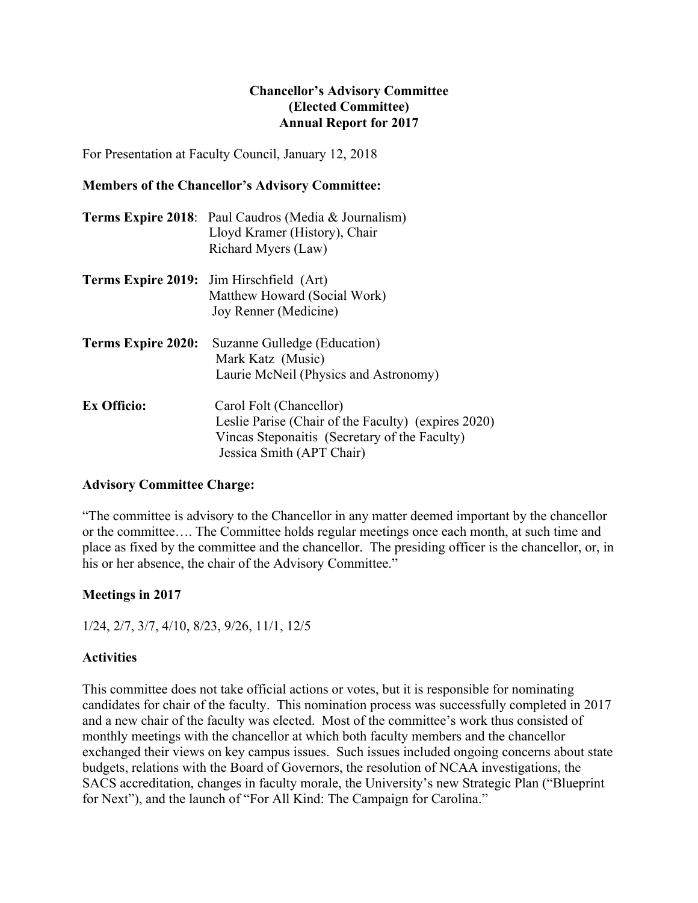### **Chancellor's Advisory Committee (Elected Committee) Annual Report for 2017**

For Presentation at Faculty Council, January 12, 2018

### **Members of the Chancellor's Advisory Committee:**

|                    | <b>Terms Expire 2018:</b> Paul Caudros (Media & Journalism)<br>Lloyd Kramer (History), Chair<br>Richard Myers (Law)                                          |
|--------------------|--------------------------------------------------------------------------------------------------------------------------------------------------------------|
|                    | <b>Terms Expire 2019:</b> Jim Hirschfield (Art)<br>Matthew Howard (Social Work)<br>Joy Renner (Medicine)                                                     |
| Terms Expire 2020: | Suzanne Gulledge (Education)<br>Mark Katz (Music)<br>Laurie McNeil (Physics and Astronomy)                                                                   |
| <b>Ex Officio:</b> | Carol Folt (Chancellor)<br>Leslie Parise (Chair of the Faculty) (expires 2020)<br>Vincas Steponaitis (Secretary of the Faculty)<br>Jessica Smith (APT Chair) |

# **Advisory Committee Charge:**

"The committee is advisory to the Chancellor in any matter deemed important by the chancellor or the committee…. The Committee holds regular meetings once each month, at such time and place as fixed by the committee and the chancellor. The presiding officer is the chancellor, or, in his or her absence, the chair of the Advisory Committee."

# **Meetings in 2017**

1/24, 2/7, 3/7, 4/10, 8/23, 9/26, 11/1, 12/5

# **Activities**

This committee does not take official actions or votes, but it is responsible for nominating candidates for chair of the faculty. This nomination process was successfully completed in 2017 and a new chair of the faculty was elected. Most of the committee's work thus consisted of monthly meetings with the chancellor at which both faculty members and the chancellor exchanged their views on key campus issues. Such issues included ongoing concerns about state budgets, relations with the Board of Governors, the resolution of NCAA investigations, the SACS accreditation, changes in faculty morale, the University's new Strategic Plan ("Blueprint for Next"), and the launch of "For All Kind: The Campaign for Carolina."